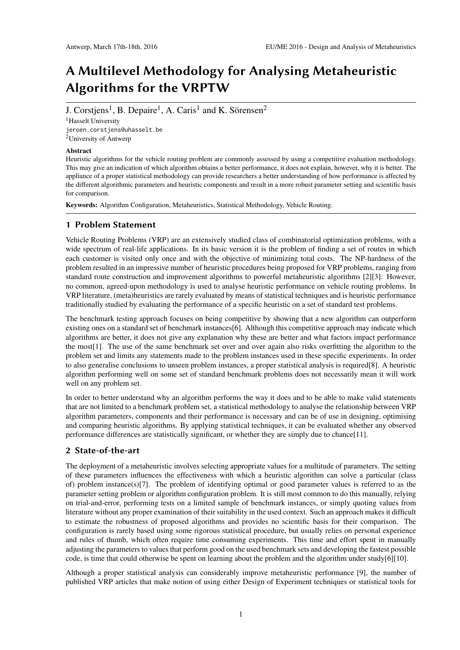# A Multilevel Methodology for Analysing Metaheuristic Algorithms for the VRPTW

# J. Corstjens<sup>1</sup>, B. Depaire<sup>1</sup>, A. Caris<sup>1</sup> and K. Sörensen<sup>2</sup>

<sup>1</sup>Hasselt University jeroen.corstjens@uhasselt.be <sup>2</sup>University of Antwerp

#### Abstract

Heuristic algorithms for the vehicle routing problem are commonly assessed by using a competitive evaluation methodology. This may give an indication of which algorithm obtains a better performance, it does not explain, however, why it is better. The appliance of a proper statistical methodology can provide researchers a better understanding of how performance is affected by the different algorithmic parameters and heuristic components and result in a more robust parameter setting and scientific basis for comparison.

Keywords: Algorithm Configuration, Metaheuristics, Statistical Methodology, Vehicle Routing.

## 1 Problem Statement

Vehicle Routing Problems (VRP) are an extensively studied class of combinatorial optimization problems, with a wide spectrum of real-life applications. In its basic version it is the problem of finding a set of routes in which each customer is visited only once and with the objective of minimizing total costs. The NP-hardness of the problem resulted in an impressive number of heuristic procedures being proposed for VRP problems, ranging from standard route construction and improvement algorithms to powerful metaheuristic algorithms [2][3]. However, no common, agreed-upon methodology is used to analyse heuristic performance on vehicle routing problems. In VRP literature, (meta)heuristics are rarely evaluated by means of statistical techniques and is heuristic performance traditionally studied by evaluating the performance of a specific heuristic on a set of standard test problems.

The benchmark testing approach focuses on being competitive by showing that a new algorithm can outperform existing ones on a standard set of benchmark instances[6]. Although this competitive approach may indicate which algorithms are better, it does not give any explanation why these are better and what factors impact performance the most[1]. The use of the same benchmark set over and over again also risks overfitting the algorithm to the problem set and limits any statements made to the problem instances used in these specific experiments. In order to also generalise conclusions to unseen problem instances, a proper statistical analysis is required[8]. A heuristic algorithm performing well on some set of standard benchmark problems does not necessarily mean it will work well on any problem set.

In order to better understand why an algorithm performs the way it does and to be able to make valid statements that are not limited to a benchmark problem set, a statistical methodology to analyse the relationship between VRP algorithm parameters, components and their performance is necessary and can be of use in designing, optimising and comparing heuristic algorithms. By applying statistical techniques, it can be evaluated whether any observed performance differences are statistically significant, or whether they are simply due to chance[11].

### 2 State-of-the-art

The deployment of a metaheuristic involves selecting appropriate values for a multitude of parameters. The setting of these parameters influences the effectiveness with which a heuristic algorithm can solve a particular (class of) problem instance(s)[7]. The problem of identifying optimal or good parameter values is referred to as the parameter setting problem or algorithm configuration problem. It is still most common to do this manually, relying on trial-and-error, performing tests on a limited sample of benchmark instances, or simply quoting values from literature without any proper examination of their suitability in the used context. Such an approach makes it difficult to estimate the robustness of proposed algorithms and provides no scientific basis for their comparison. The configuration is rarely based using some rigorous statistical procedure, but usually relies on personal experience and rules of thumb, which often require time consuming experiments. This time and effort spent in manually adjusting the parameters to values that perform good on the used benchmark sets and developing the fastest possible code, is time that could otherwise be spent on learning about the problem and the algorithm under study[6][10].

Although a proper statistical analysis can considerably improve metaheuristic performance [9], the number of published VRP articles that make notion of using either Design of Experiment techniques or statistical tools for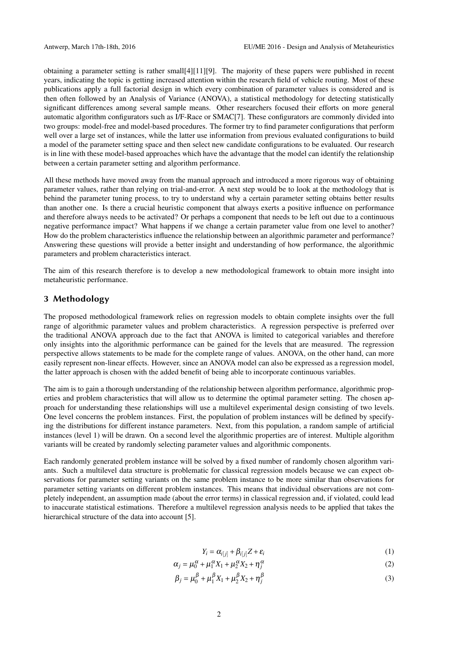obtaining a parameter setting is rather small[4][11][9]. The majority of these papers were published in recent years, indicating the topic is getting increased attention within the research field of vehicle routing. Most of these publications apply a full factorial design in which every combination of parameter values is considered and is then often followed by an Analysis of Variance (ANOVA), a statistical methodology for detecting statistically significant differences among several sample means. Other researchers focused their efforts on more general automatic algorithm configurators such as I/F-Race or SMAC[7]. These configurators are commonly divided into two groups: model-free and model-based procedures. The former try to find parameter configurations that perform well over a large set of instances, while the latter use information from previous evaluated configurations to build a model of the parameter setting space and then select new candidate configurations to be evaluated. Our research is in line with these model-based approaches which have the advantage that the model can identify the relationship between a certain parameter setting and algorithm performance.

All these methods have moved away from the manual approach and introduced a more rigorous way of obtaining parameter values, rather than relying on trial-and-error. A next step would be to look at the methodology that is behind the parameter tuning process, to try to understand why a certain parameter setting obtains better results than another one. Is there a crucial heuristic component that always exerts a positive influence on performance and therefore always needs to be activated? Or perhaps a component that needs to be left out due to a continuous negative performance impact? What happens if we change a certain parameter value from one level to another? How do the problem characteristics influence the relationship between an algorithmic parameter and performance? Answering these questions will provide a better insight and understanding of how performance, the algorithmic parameters and problem characteristics interact.

The aim of this research therefore is to develop a new methodological framework to obtain more insight into metaheuristic performance.

## 3 Methodology

The proposed methodological framework relies on regression models to obtain complete insights over the full range of algorithmic parameter values and problem characteristics. A regression perspective is preferred over the traditional ANOVA approach due to the fact that ANOVA is limited to categorical variables and therefore only insights into the algorithmic performance can be gained for the levels that are measured. The regression perspective allows statements to be made for the complete range of values. ANOVA, on the other hand, can more easily represent non-linear effects. However, since an ANOVA model can also be expressed as a regression model, the latter approach is chosen with the added benefit of being able to incorporate continuous variables.

The aim is to gain a thorough understanding of the relationship between algorithm performance, algorithmic properties and problem characteristics that will allow us to determine the optimal parameter setting. The chosen approach for understanding these relationships will use a multilevel experimental design consisting of two levels. One level concerns the problem instances. First, the population of problem instances will be defined by specifying the distributions for different instance parameters. Next, from this population, a random sample of artificial instances (level 1) will be drawn. On a second level the algorithmic properties are of interest. Multiple algorithm variants will be created by randomly selecting parameter values and algorithmic components.

Each randomly generated problem instance will be solved by a fixed number of randomly chosen algorithm variants. Such a multilevel data structure is problematic for classical regression models because we can expect observations for parameter setting variants on the same problem instance to be more similar than observations for parameter setting variants on different problem instances. This means that individual observations are not completely independent, an assumption made (about the error terms) in classical regression and, if violated, could lead to inaccurate statistical estimations. Therefore a multilevel regression analysis needs to be applied that takes the hierarchical structure of the data into account [5].

$$
Y_i = \alpha_{i[j]} + \beta_{i[j]} Z + \varepsilon_i \tag{1}
$$

$$
\alpha_j = \mu_0^{\alpha} + \mu_1^{\alpha} X_1 + \mu_2^{\alpha} X_2 + \eta_j^{\alpha} \tag{2}
$$

$$
\beta_j = \mu_0^{\beta} + \mu_1^{\beta} X_1 + \mu_2^{\beta} X_2 + \eta_j^{\beta}
$$
\n(3)